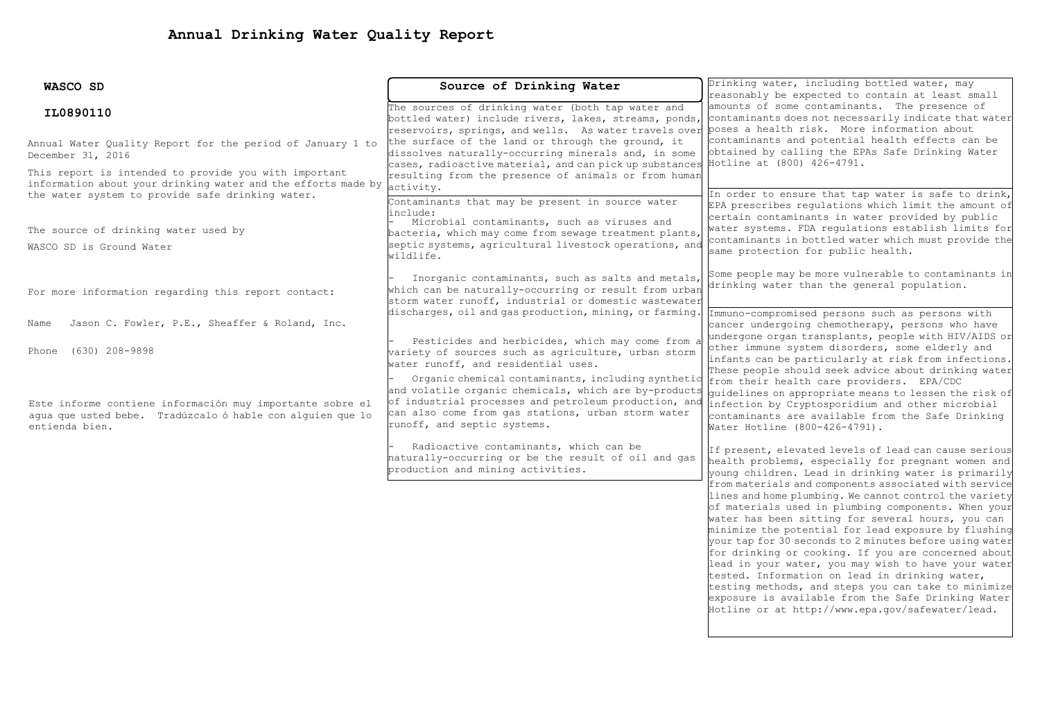| WASCO SD                                                      | Source of Drinking Water                                                                                                                                   | Drinking water, including bottled water, may<br>reasonably be expected to contain at least small                                                                |  |  |
|---------------------------------------------------------------|------------------------------------------------------------------------------------------------------------------------------------------------------------|-----------------------------------------------------------------------------------------------------------------------------------------------------------------|--|--|
|                                                               |                                                                                                                                                            |                                                                                                                                                                 |  |  |
| IL0890110                                                     | The sources of drinking water (both tap water and                                                                                                          | amounts of some contaminants. The presence of                                                                                                                   |  |  |
|                                                               | bottled water) include rivers, lakes, streams, ponds,<br>reservoirs, springs, and wells. As water travels over poses a health risk. More information about | contaminants does not necessarily indicate that water                                                                                                           |  |  |
|                                                               | the surface of the land or through the ground, it                                                                                                          | contaminants and potential health effects can be                                                                                                                |  |  |
| Annual Water Quality Report for the period of January 1 to    | dissolves naturally-occurring minerals and, in some                                                                                                        | obtained by calling the EPAs Safe Drinking Water                                                                                                                |  |  |
| December 31, 2016                                             | cases, radioactive material, and can pick up substances                                                                                                    | Hotline at (800) 426-4791.                                                                                                                                      |  |  |
| This report is intended to provide you with important         | resulting from the presence of animals or from human                                                                                                       |                                                                                                                                                                 |  |  |
| information about your drinking water and the efforts made by | activity.                                                                                                                                                  |                                                                                                                                                                 |  |  |
| the water system to provide safe drinking water.              | Contaminants that may be present in source water                                                                                                           | In order to ensure that tap water is safe to drink,<br>EPA prescribes regulations which limit the amount of<br>certain contaminants in water provided by public |  |  |
|                                                               | linclude:                                                                                                                                                  |                                                                                                                                                                 |  |  |
|                                                               | Microbial contaminants, such as viruses and                                                                                                                | water systems. FDA requlations establish limits for                                                                                                             |  |  |
| The source of drinking water used by                          | bacteria, which may come from sewage treatment plants,                                                                                                     | contaminants in bottled water which must provide the                                                                                                            |  |  |
| WASCO SD is Ground Water                                      | septic systems, agricultural livestock operations, and<br>wildlife.                                                                                        | same protection for public health.                                                                                                                              |  |  |
|                                                               |                                                                                                                                                            |                                                                                                                                                                 |  |  |
|                                                               | Inorganic contaminants, such as salts and metals,                                                                                                          | Some people may be more vulnerable to contaminants in                                                                                                           |  |  |
| For more information regarding this report contact:           | which can be naturally-occurring or result from urban                                                                                                      | drinking water than the general population.                                                                                                                     |  |  |
|                                                               | storm water runoff, industrial or domestic wastewater                                                                                                      |                                                                                                                                                                 |  |  |
|                                                               | discharges, oil and gas production, mining, or farming.                                                                                                    | Immuno-compromised persons such as persons with                                                                                                                 |  |  |
| Jason C. Fowler, P.E., Sheaffer & Roland, Inc.<br>Name        |                                                                                                                                                            | cancer undergoing chemotherapy, persons who have                                                                                                                |  |  |
|                                                               | Pesticides and herbicides, which may come from a                                                                                                           | undergone organ transplants, people with HIV/AIDS or                                                                                                            |  |  |
| $(630)$ 208-9898<br>Phone                                     | wariety of sources such as agriculture, urban storm                                                                                                        | other immune system disorders, some elderly and                                                                                                                 |  |  |
|                                                               | water runoff, and residential uses.                                                                                                                        | infants can be particularly at risk from infections.                                                                                                            |  |  |
|                                                               | Organic chemical contaminants, including synthetic                                                                                                         | These people should seek advice about drinking water<br>from their health care providers. EPA/CDC                                                               |  |  |
|                                                               | and volatile organic chemicals, which are by-products                                                                                                      | quidelines on appropriate means to lessen the risk of                                                                                                           |  |  |
| Este informe contiene información muy importante sobre el     | of industrial processes and petroleum production, and                                                                                                      | infection by Cryptosporidium and other microbial                                                                                                                |  |  |
| agua que usted bebe. Tradúzcalo ó hable con alguien que lo    | can also come from gas stations, urban storm water                                                                                                         | contaminants are available from the Safe Drinking                                                                                                               |  |  |
| entienda bien.                                                | runoff, and septic systems.                                                                                                                                | Water Hotline (800-426-4791).                                                                                                                                   |  |  |
|                                                               |                                                                                                                                                            |                                                                                                                                                                 |  |  |
|                                                               | Radioactive contaminants, which can be<br>haturally-occurring or be the result of oil and gas                                                              | If present, elevated levels of lead can cause serious                                                                                                           |  |  |
|                                                               | production and mining activities.                                                                                                                          | health problems, especially for pregnant women and                                                                                                              |  |  |
|                                                               |                                                                                                                                                            | young children. Lead in drinking water is primarily<br>from materials and components associated with service                                                    |  |  |
|                                                               |                                                                                                                                                            | lines and home plumbing. We cannot control the variety                                                                                                          |  |  |
|                                                               |                                                                                                                                                            | of materials used in plumbing components. When your                                                                                                             |  |  |
|                                                               |                                                                                                                                                            | water has been sitting for several hours, you can                                                                                                               |  |  |
|                                                               |                                                                                                                                                            | minimize the potential for lead exposure by flushing                                                                                                            |  |  |
|                                                               |                                                                                                                                                            | your tap for 30 seconds to 2 minutes before using water                                                                                                         |  |  |
|                                                               |                                                                                                                                                            | for drinking or cooking. If you are concerned about                                                                                                             |  |  |
|                                                               |                                                                                                                                                            | lead in your water, you may wish to have your water                                                                                                             |  |  |
|                                                               |                                                                                                                                                            | tested. Information on lead in drinking water,                                                                                                                  |  |  |

testing methods, and steps you can take to minimize exposure is available from the Safe Drinking Water Hotline or at http://www.epa.gov/safewater/lead.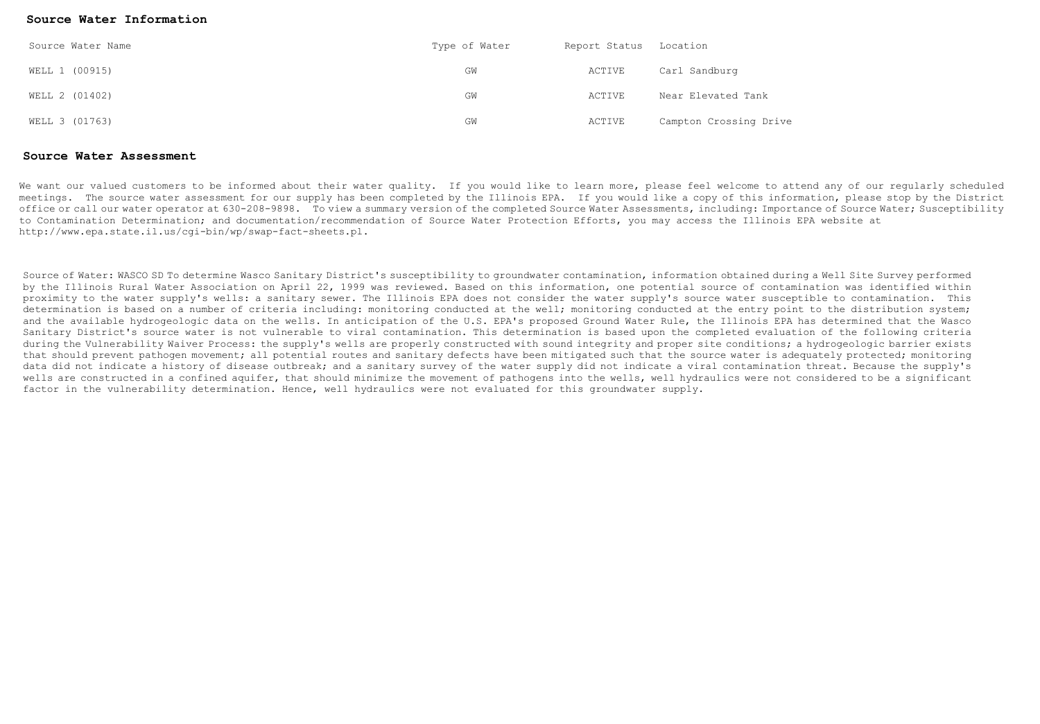## **Source Water Information**

| Source Water Name | Type of Water | Report Status Location |                        |  |
|-------------------|---------------|------------------------|------------------------|--|
| WELL 1 (00915)    | GM            | ACTIVE                 | Carl Sandburg          |  |
| WELL 2 (01402)    | GM            | ACTIVE                 | Near Elevated Tank     |  |
| WELL 3 (01763)    | GW            | ACTIVE                 | Campton Crossing Drive |  |

## **Source Water Assessment**

We want our valued customers to be informed about their water quality. If you would like to learn more, please feel welcome to attend any of our regularly scheduled meetings. The source water assessment for our supply has been completed by the Illinois EPA. If you would like a copy of this information, please stop by the District office or call our water operator at 630-208-9898. To view a summary version of the completed Source Water Assessments, including: Importance of Source Water; Susceptibility to Contamination Determination; and documentation/recommendation of Source Water Protection Efforts, you may access the Illinois EPA website at http://www.epa.state.il.us/cgi-bin/wp/swap-fact-sheets.pl.

Source of Water: WASCO SD To determine Wasco Sanitary District's susceptibility to groundwater contamination, information obtained during a Well Site Survey performed by the Illinois Rural Water Association on April 22, 1999 was reviewed. Based on this information, one potential source of contamination was identified within proximity to the water supply's wells: a sanitary sewer. The Illinois EPA does not consider the water supply's source water susceptible to contamination. This determination is based on a number of criteria including: monitoring conducted at the well; monitoring conducted at the entry point to the distribution system; and the available hydrogeologic data on the wells. In anticipation of the U.S. EPA's proposed Ground Water Rule, the Illinois EPA has determined that the Wasco Sanitary District's source water is not vulnerable to viral contamination. This determination is based upon the completed evaluation of the following criteria during the Vulnerability Waiver Process: the supply's wells are properly constructed with sound integrity and proper site conditions; a hydrogeologic barrier exists that should prevent pathogen movement; all potential routes and sanitary defects have been mitigated such that the source water is adequately protected; monitoring data did not indicate a history of disease outbreak; and a sanitary survey of the water supply did not indicate a viral contamination threat. Because the supply's wells are constructed in a confined aquifer, that should minimize the movement of pathogens into the wells, well hydraulics were not considered to be a significant factor in the vulnerability determination. Hence, well hydraulics were not evaluated for this groundwater supply.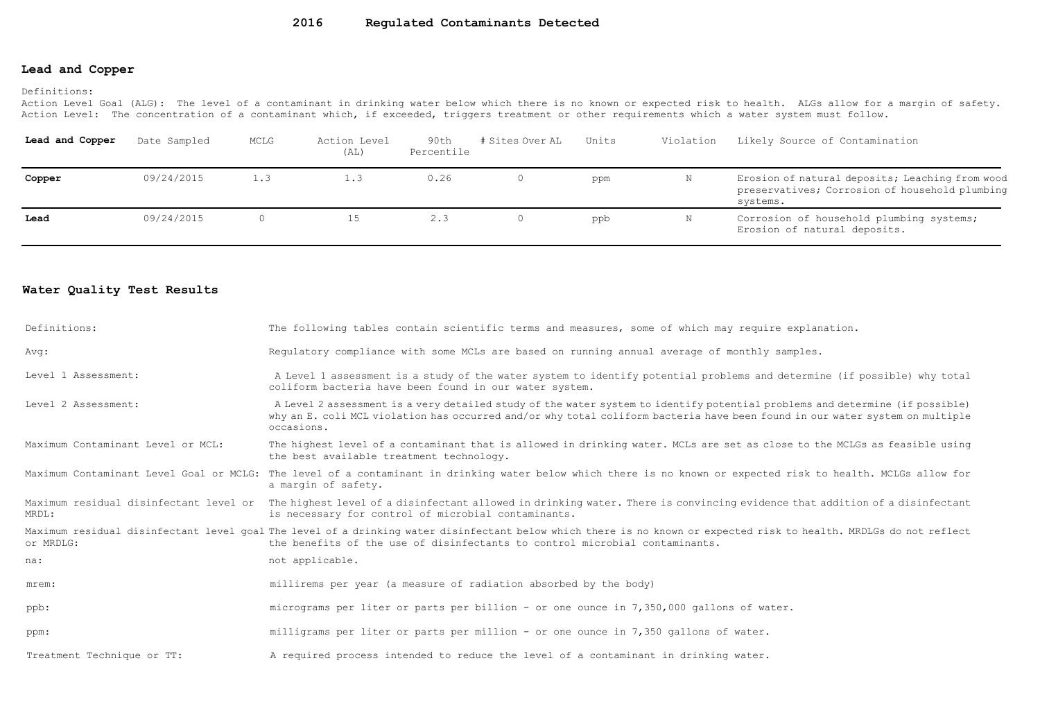## **Lead and Copper**

Definitions:

Action Level Goal (ALG): The level of a contaminant in drinking water below which there is no known or expected risk to health. ALGs allow for a margin of safety. Action Level: The concentration of a contaminant which, if exceeded, triggers treatment or other requirements which a water system must follow.

| Lead and Copper | Date Sampled | MCLG | Action Level<br>(AL) | 90th<br>Percentile | # Sites Over AL | Units | Violation | Likely Source of Contamination                                                                                |
|-----------------|--------------|------|----------------------|--------------------|-----------------|-------|-----------|---------------------------------------------------------------------------------------------------------------|
| Copper          | 09/24/2015   | 1.3  | $\ldots$ 3           | 0.26               |                 | ppm   | N         | Erosion of natural deposits; Leaching from wood<br>preservatives; Corrosion of household plumbing<br>systems. |
| Lead            | 09/24/2015   |      |                      | 2.3                |                 | ppb   | Ν         | Corrosion of household plumbing systems;<br>Erosion of natural deposits.                                      |

## **Water Quality Test Results**

| Definitions:                      | The following tables contain scientific terms and measures, some of which may require explanation.                                                                                                                                                                         |
|-----------------------------------|----------------------------------------------------------------------------------------------------------------------------------------------------------------------------------------------------------------------------------------------------------------------------|
| Avg:                              | Requlatory compliance with some MCLs are based on running annual average of monthly samples.                                                                                                                                                                               |
| Level 1 Assessment:               | A Level 1 assessment is a study of the water system to identify potential problems and determine (if possible) why total<br>coliform bacteria have been found in our water system.                                                                                         |
| Level 2 Assessment:               | A Level 2 assessment is a very detailed study of the water system to identify potential problems and determine (if possible)<br>why an E. coli MCL violation has occurred and/or why total coliform bacteria have been found in our water system on multiple<br>occasions. |
| Maximum Contaminant Level or MCL: | The highest level of a contaminant that is allowed in drinking water. MCLs are set as close to the MCLGs as feasible using<br>the best available treatment technology.                                                                                                     |
|                                   | Maximum Contaminant Level Goal or MCLG: The level of a contaminant in drinking water below which there is no known or expected risk to health. MCLGs allow for<br>a margin of safety.                                                                                      |
| MRDL:                             | Maximum residual disinfectant level or The highest level of a disinfectant allowed in drinking water. There is convincing evidence that addition of a disinfectant<br>is necessary for control of microbial contaminants.                                                  |
| or MRDLG:                         | Maximum residual disinfectant level goal The level of a drinking water disinfectant below which there is no known or expected risk to health. MRDLGs do not reflect<br>the benefits of the use of disinfectants to control microbial contaminants.                         |
| na:                               | not applicable.                                                                                                                                                                                                                                                            |
| mrem:                             | millirems per year (a measure of radiation absorbed by the body)                                                                                                                                                                                                           |
| ppb:                              | micrograms per liter or parts per billion - or one ounce in 7,350,000 gallons of water.                                                                                                                                                                                    |
| ppm:                              | milligrams per liter or parts per million - or one ounce in 7,350 gallons of water.                                                                                                                                                                                        |
| Treatment Technique or TT:        | A required process intended to reduce the level of a contaminant in drinking water.                                                                                                                                                                                        |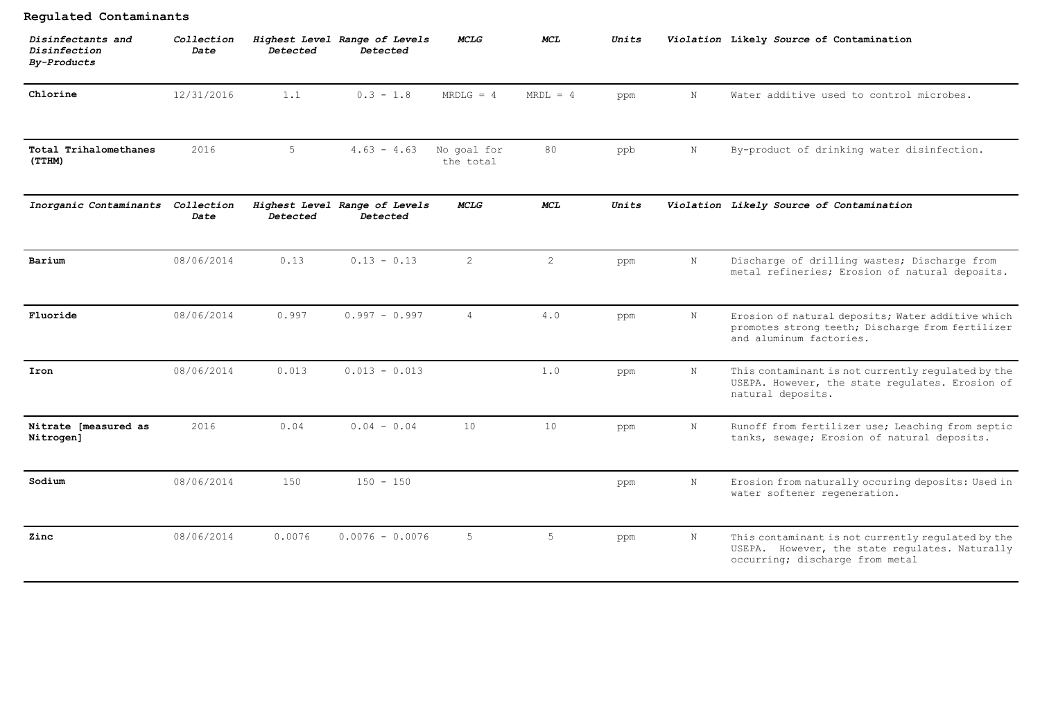| Regulated Contaminants                           |                    |          |                                           |                          |            |       |             |                                                                                                                                         |
|--------------------------------------------------|--------------------|----------|-------------------------------------------|--------------------------|------------|-------|-------------|-----------------------------------------------------------------------------------------------------------------------------------------|
| Disinfectants and<br>Disinfection<br>By-Products | Collection<br>Date | Detected | Highest Level Range of Levels<br>Detected | <b>MCLG</b>              | <b>MCL</b> | Units |             | Violation Likely Source of Contamination                                                                                                |
| Chlorine                                         | 12/31/2016         | 1.1      | $0.3 - 1.8$                               | $MRDLG = 4$              | $MRDL = 4$ | ppm   | $\mathbf N$ | Water additive used to control microbes.                                                                                                |
| Total Trihalomethanes<br>(TTHM)                  | 2016               | 5        | $4.63 - 4.63$                             | No goal for<br>the total | 80         | ppb   | N           | By-product of drinking water disinfection.                                                                                              |
| Inorganic Contaminants                           | Collection<br>Date | Detected | Highest Level Range of Levels<br>Detected | <b>MCLG</b>              | <b>MCL</b> | Units |             | Violation Likely Source of Contamination                                                                                                |
| Barium                                           | 08/06/2014         | 0.13     | $0.13 - 0.13$                             | 2                        | 2          | ppm   | $\mathbf N$ | Discharge of drilling wastes; Discharge from<br>metal refineries; Erosion of natural deposits.                                          |
| Fluoride                                         | 08/06/2014         | 0.997    | $0.997 - 0.997$                           | $\overline{4}$           | 4.0        | ppm   | N           | Erosion of natural deposits; Water additive which<br>promotes strong teeth; Discharge from fertilizer<br>and aluminum factories.        |
| Iron                                             | 08/06/2014         | 0.013    | $0.013 - 0.013$                           |                          | 1.0        | ppm   | N           | This contaminant is not currently regulated by the<br>USEPA. However, the state regulates. Erosion of<br>natural deposits.              |
| Nitrate [measured as<br>Nitrogen]                | 2016               | 0.04     | $0.04 - 0.04$                             | 10                       | 10         | ppm   | $\mathbf N$ | Runoff from fertilizer use; Leaching from septic<br>tanks, sewage; Erosion of natural deposits.                                         |
| Sodium                                           | 08/06/2014         | 150      | $150 - 150$                               |                          |            | ppm   | $\mathbb N$ | Erosion from naturally occuring deposits: Used in<br>water softener regeneration.                                                       |
| Zinc                                             | 08/06/2014         | 0.0076   | $0.0076 - 0.0076$                         | 5                        | 5          | ppm   | $_{\rm N}$  | This contaminant is not currently regulated by the<br>USEPA. However, the state regulates. Naturally<br>occurring; discharge from metal |